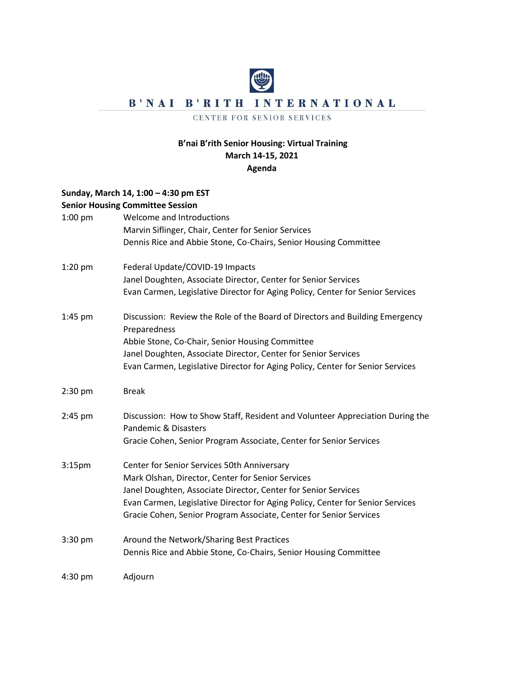# B'NAI B'RITH INTERNATIONAL

#### CENTER FOR SENIOR SERVICES

### **B'nai B'rith Senior Housing: Virtual Training March 14-15, 2021 Agenda**

# **Sunday, March 14, 1:00 – 4:30 pm EST Senior Housing Committee Session** 1:00 pm Welcome and Introductions Marvin Siflinger, Chair, Center for Senior Services Dennis Rice and Abbie Stone, Co-Chairs, Senior Housing Committee 1:20 pm Federal Update/COVID-19 Impacts Janel Doughten, Associate Director, Center for Senior Services Evan Carmen, Legislative Director for Aging Policy, Center for Senior Services 1:45 pm Discussion: Review the Role of the Board of Directors and Building Emergency Preparedness Abbie Stone, Co-Chair, Senior Housing Committee Janel Doughten, Associate Director, Center for Senior Services Evan Carmen, Legislative Director for Aging Policy, Center for Senior Services 2:30 pm Break 2:45 pm Discussion: How to Show Staff, Resident and Volunteer Appreciation During the Pandemic & Disasters Gracie Cohen, Senior Program Associate, Center for Senior Services 3:15pm Center for Senior Services 50th Anniversary Mark Olshan, Director, Center for Senior Services Janel Doughten, Associate Director, Center for Senior Services Evan Carmen, Legislative Director for Aging Policy, Center for Senior Services Gracie Cohen, Senior Program Associate, Center for Senior Services 3:30 pm Around the Network/Sharing Best Practices Dennis Rice and Abbie Stone, Co-Chairs, Senior Housing Committee 4:30 pm Adjourn